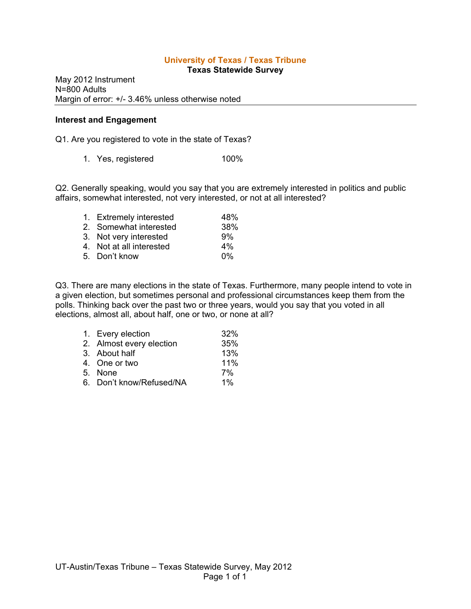# **University of Texas / Texas Tribune**

**Texas Statewide Survey**

May 2012 Instrument N=800 Adults Margin of error: +/- 3.46% unless otherwise noted

#### **Interest and Engagement**

Q1. Are you registered to vote in the state of Texas?

1. Yes, registered 100%

Q2. Generally speaking, would you say that you are extremely interested in politics and public affairs, somewhat interested, not very interested, or not at all interested?

|                          | 48%                     |
|--------------------------|-------------------------|
| 2. Somewhat interested   | 38%                     |
| 3. Not very interested   | 9%                      |
| 4. Not at all interested | 4%                      |
| 5. Don't know            | በ%                      |
|                          | 1. Extremely interested |

Q3. There are many elections in the state of Texas. Furthermore, many people intend to vote in a given election, but sometimes personal and professional circumstances keep them from the polls. Thinking back over the past two or three years, would you say that you voted in all elections, almost all, about half, one or two, or none at all?

| 1. Every election        | 32%   |
|--------------------------|-------|
| 2. Almost every election | 35%   |
| 3. About half            | 13%   |
| 4. One or two            | 11%   |
| 5. None                  | 7%    |
| 6. Don't know/Refused/NA | $1\%$ |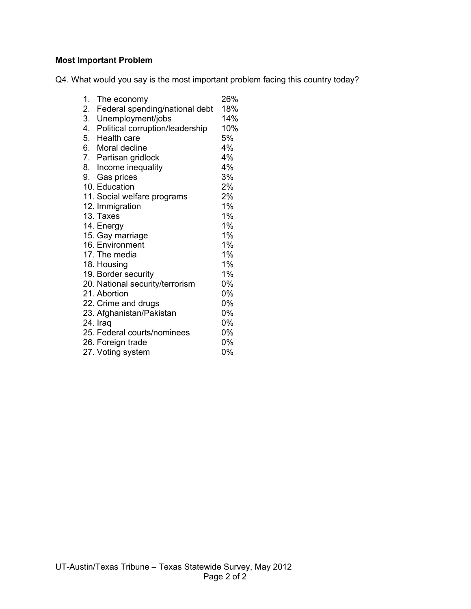# **Most Important Problem**

Q4. What would you say is the most important problem facing this country today?

| 1. | The economy                        | 26%   |
|----|------------------------------------|-------|
| 2. | Federal spending/national debt     | 18%   |
| 3. | Unemployment/jobs                  | 14%   |
|    | 4. Political corruption/leadership | 10%   |
|    | 5. Health care                     | 5%    |
|    | 6. Moral decline                   | 4%    |
|    | 7. Partisan gridlock               | 4%    |
|    | 8. Income inequality               | 4%    |
|    | 9. Gas prices                      | 3%    |
|    | 10. Education                      | 2%    |
|    | 11. Social welfare programs        | 2%    |
|    | 12. Immigration                    | 1%    |
|    | 13. Taxes                          | 1%    |
|    | 14. Energy                         | 1%    |
|    | 15. Gay marriage                   | 1%    |
|    | 16. Environment                    | $1\%$ |
|    | 17. The media                      | 1%    |
|    | 18. Housing                        | 1%    |
|    | 19. Border security                | $1\%$ |
|    | 20. National security/terrorism    | 0%    |
|    | 21. Abortion                       | 0%    |
|    | 22. Crime and drugs                | 0%    |
|    | 23. Afghanistan/Pakistan           | 0%    |
|    | 24. Iraq                           | 0%    |
|    | 25. Federal courts/nominees        | 0%    |
|    | 26. Foreign trade                  | 0%    |
|    | 27. Voting system                  | 0%    |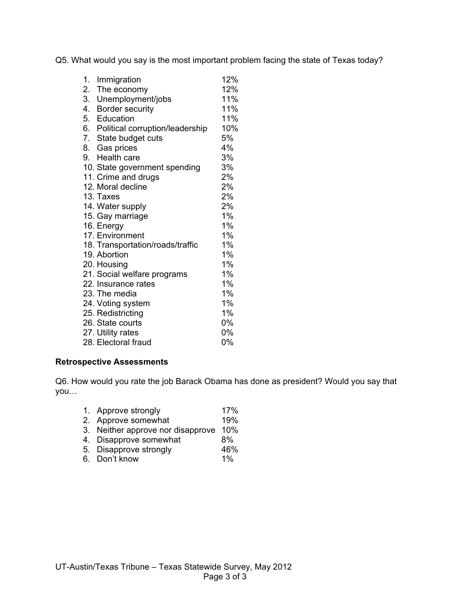Q5. What would you say is the most important problem facing the state of Texas today?

| 1. | Immigration                        | 12%   |
|----|------------------------------------|-------|
| 2. | The economy                        | 12%   |
|    | 3. Unemployment/jobs               | 11%   |
|    | 4. Border security                 | 11%   |
|    | 5. Education                       | 11%   |
|    | 6. Political corruption/leadership | 10%   |
|    | 7. State budget cuts               | 5%    |
|    | 8. Gas prices                      | 4%    |
|    | 9. Health care                     | 3%    |
|    | 10. State government spending      | 3%    |
|    | 11. Crime and drugs                | 2%    |
|    | 12. Moral decline                  | 2%    |
|    | 13. Taxes                          | 2%    |
|    | 14. Water supply                   | 2%    |
|    | 15. Gay marriage                   | 1%    |
|    | 16. Energy                         | 1%    |
|    | 17. Environment                    | 1%    |
|    | 18. Transportation/roads/traffic   | $1\%$ |
|    | 19. Abortion                       | 1%    |
|    | 20. Housing                        | 1%    |
|    | 21. Social welfare programs        | 1%    |
|    | 22. Insurance rates                | 1%    |
|    | 23. The media                      | 1%    |
|    | 24. Voting system                  | 1%    |
|    | 25. Redistricting                  | 1%    |
|    | 26. State courts                   | 0%    |
|    | 27. Utility rates                  | 0%    |
|    | 28. Electoral fraud                | 0%    |

## **Retrospective Assessments**

Q6. How would you rate the job Barack Obama has done as president? Would you say that you…

- 1. Approve strongly 17%
- 2. Approve somewhat 19%
- 3. Neither approve nor disapprove 10%
- 4. Disapprove somewhat 6%
- 5. Disapprove strongly  $46\%$
- 6. Don't know 1%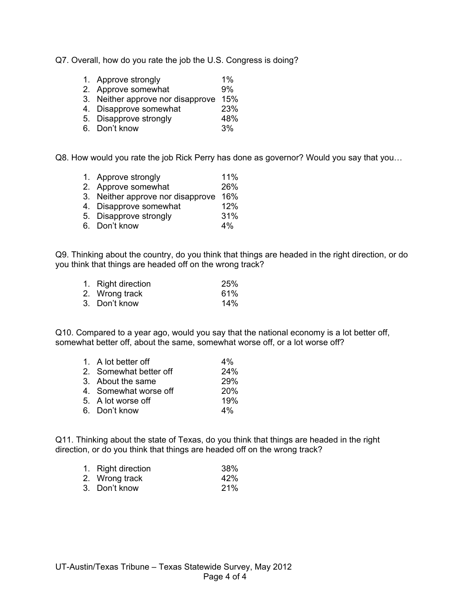Q7. Overall, how do you rate the job the U.S. Congress is doing?

- 1. Approve strongly 1%<br>2. Approve somewhat 9%
- 2. Approve somewhat
- 3. Neither approve nor disapprove 15%
- 4. Disapprove somewhat 23%
- 5. Disapprove strongly 48%
- 6. Don't know 3%

Q8. How would you rate the job Rick Perry has done as governor? Would you say that you…

- 1. Approve strongly 11%
- 2. Approve somewhat 26%
- 3. Neither approve nor disapprove 16%
- 4. Disapprove somewhat 12%
- 5. Disapprove strongly 31%
- 6. Don't know 4%

Q9. Thinking about the country, do you think that things are headed in the right direction, or do you think that things are headed off on the wrong track?

1. Right direction  $25\%$ <br>
2. Wrong track 61% 2. Wrong track 61%<br>3 Don't know 61% 3. Don't know

Q10. Compared to a year ago, would you say that the national economy is a lot better off, somewhat better off, about the same, somewhat worse off, or a lot worse off?

| 1. A lot better off    | $4\%$      |
|------------------------|------------|
| 2. Somewhat better off | 24%        |
| 3. About the same      | <b>29%</b> |
| 4. Somewhat worse off  | 20%        |
| 5. A lot worse off     | 19%        |
| 6. Don't know          | $4\%$      |

Q11. Thinking about the state of Texas, do you think that things are headed in the right direction, or do you think that things are headed off on the wrong track?

| 1. Right direction | 38% |
|--------------------|-----|
| 2. Wrong track     | 42% |
| 3. Don't know      | 21% |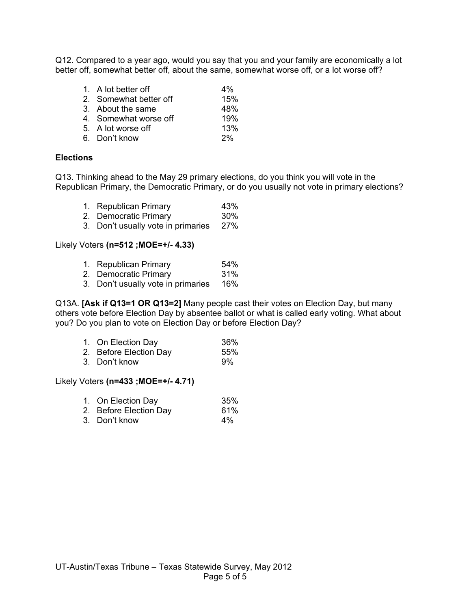Q12. Compared to a year ago, would you say that you and your family are economically a lot better off, somewhat better off, about the same, somewhat worse off, or a lot worse off?

| 1. A lot better off    | $4\%$ |
|------------------------|-------|
| 2. Somewhat better off | 15%   |
| 3. About the same      | 48%   |
| 4. Somewhat worse off  | 19%   |
| 5. A lot worse off     | 13%   |
| 6. Don't know          | 2%    |

## **Elections**

Q13. Thinking ahead to the May 29 primary elections, do you think you will vote in the Republican Primary, the Democratic Primary, or do you usually not vote in primary elections?

- 1. Republican Primary 43%
- 2. Democratic Primary 30%
- 3. Don't usually vote in primaries 27%

#### Likely Voters **(n=512 ;MOE=+/- 4.33)**

- 1. Republican Primary 64%
- 2. Democratic Primary 31%
- 3. Don't usually vote in primaries 16%

Q13A. **[Ask if Q13=1 OR Q13=2]** Many people cast their votes on Election Day, but many others vote before Election Day by absentee ballot or what is called early voting. What about you? Do you plan to vote on Election Day or before Election Day?

| 1. On Election Day     | 36% |
|------------------------|-----|
| 2. Before Election Day | 55% |
| 3. Don't know          | 9%  |

### Likely Voters **(n=433 ;MOE=+/- 4.71)**

| 1. On Election Day     | 35%   |
|------------------------|-------|
| 2. Before Election Day | 61%   |
| 3. Don't know          | $4\%$ |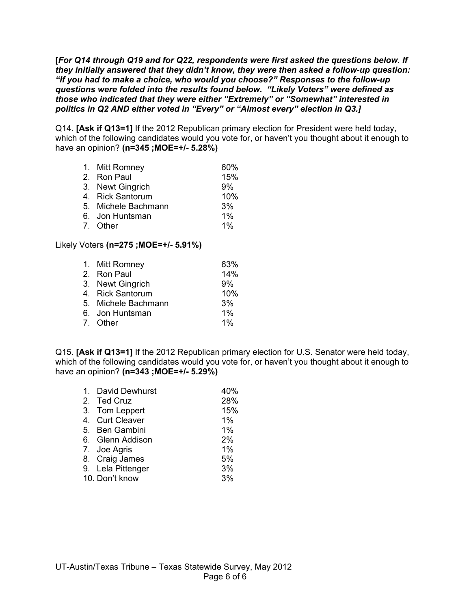**[***For Q14 through Q19 and for Q22, respondents were first asked the questions below. If they initially answered that they didn't know, they were then asked a follow-up question: "If you had to make a choice, who would you choose?" Responses to the follow-up questions were folded into the results found below. "Likely Voters" were defined as those who indicated that they were either "Extremely" or "Somewhat" interested in politics in Q2 AND either voted in "Every" or "Almost every" election in Q3.]*

Q14. **[Ask if Q13=1]** If the 2012 Republican primary election for President were held today, which of the following candidates would you vote for, or haven't you thought about it enough to have an opinion? **(n=345 ;MOE=+/- 5.28%)**

- 1. Mitt Romney 60%
- 2. Ron Paul 15%
- 3. Newt Gingrich 9%
- 4. Rick Santorum 10%
- 5. Michele Bachmann 3%<br>6. Jon Huntsman 6. 1%
- 6. Jon Huntsman
- 7. Other 1%

## Likely Voters **(n=275 ;MOE=+/- 5.91%)**

| 1. Mitt Romney      | 63%   |
|---------------------|-------|
| 2. Ron Paul         | 14%   |
| 3. Newt Gingrich    | 9%    |
| 4. Rick Santorum    | 10%   |
| 5. Michele Bachmann | 3%    |
| 6. Jon Huntsman     | $1\%$ |
| 7. Other            | $1\%$ |

Q15. **[Ask if Q13=1]** If the 2012 Republican primary election for U.S. Senator were held today, which of the following candidates would you vote for, or haven't you thought about it enough to have an opinion? **(n=343 ;MOE=+/- 5.29%)**

| 1. David Dewhurst | 40% |
|-------------------|-----|
| 2. Ted Cruz       | 28% |
| 3. Tom Leppert    | 15% |
| 4. Curt Cleaver   | 1%  |
| 5. Ben Gambini    | 1%  |
| 6. Glenn Addison  | 2%  |
| 7. Joe Agris      | 1%  |
| 8. Craig James    | 5%  |
| 9. Lela Pittenger | 3%  |
| 10. Don't know    | 3%  |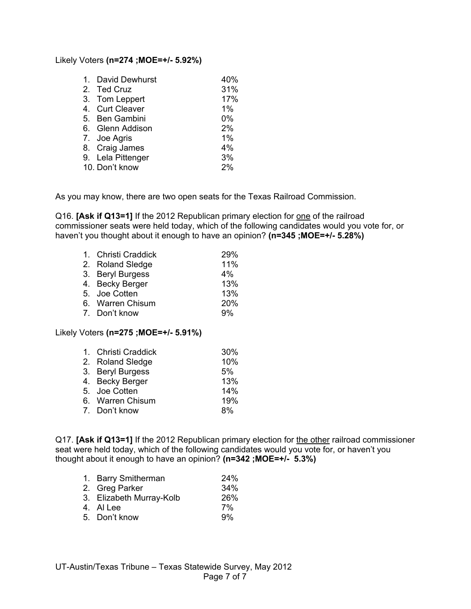#### Likely Voters **(n=274 ;MOE=+/- 5.92%)**

| 1. David Dewhurst | 40% |
|-------------------|-----|
| 2. Ted Cruz       | 31% |
| 3. Tom Leppert    | 17% |
| 4. Curt Cleaver   | 1%  |
| 5. Ben Gambini    | 0%  |
| 6. Glenn Addison  | 2%  |
| 7. Joe Agris      | 1%  |
| 8. Craig James    | 4%  |
| 9. Lela Pittenger | 3%  |
| 10. Don't know    | 2%  |

As you may know, there are two open seats for the Texas Railroad Commission.

Q16. **[Ask if Q13=1]** If the 2012 Republican primary election for one of the railroad commissioner seats were held today, which of the following candidates would you vote for, or haven't you thought about it enough to have an opinion? **(n=345 ;MOE=+/- 5.28%)**

| 1. Christi Craddick | 29%   |
|---------------------|-------|
| 2. Roland Sledge    | 11%   |
| 3. Beryl Burgess    | $4\%$ |
| 4. Becky Berger     | 13%   |
| 5. Joe Cotten       | 13%   |
| 6. Warren Chisum    | 20%   |
| 7. Don't know       | 9%    |

## Likely Voters **(n=275 ;MOE=+/- 5.91%)**

| 1. Christi Craddick | 30% |
|---------------------|-----|
| 2. Roland Sledge    | 10% |
| 3. Beryl Burgess    | 5%  |
| 4. Becky Berger     | 13% |
| 5. Joe Cotten       | 14% |
| 6. Warren Chisum    | 19% |
| 7. Don't know       | 8%  |

Q17. **[Ask if Q13=1]** If the 2012 Republican primary election for the other railroad commissioner seat were held today, which of the following candidates would you vote for, or haven't you thought about it enough to have an opinion? **(n=342 ;MOE=+/- 5.3%)**

| 1. Barry Smitherman      | 24% |
|--------------------------|-----|
| 2. Greg Parker           | 34% |
| 3. Elizabeth Murray-Kolb | 26% |
| 4. Al Lee                | 7%  |
| 5. Don't know            | 9%  |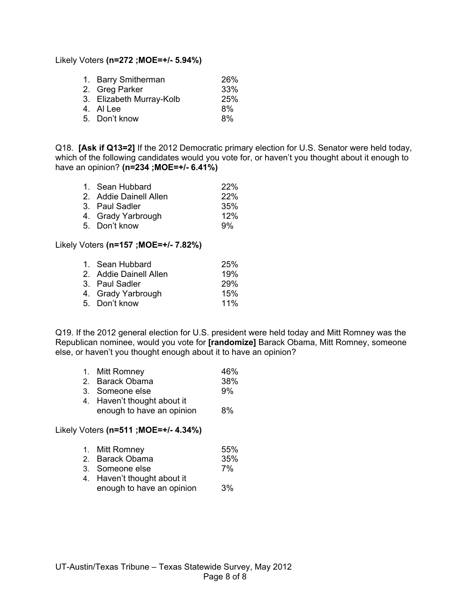#### Likely Voters **(n=272 ;MOE=+/- 5.94%)**

| 1. Barry Smitherman      | <b>26%</b> |
|--------------------------|------------|
| 2. Greg Parker           | 33%        |
| 3. Elizabeth Murray-Kolb | 25%        |
| 4. Al Lee                | 8%         |
| 5. Don't know            | 8%         |
|                          |            |

Q18. **[Ask if Q13=2]** If the 2012 Democratic primary election for U.S. Senator were held today, which of the following candidates would you vote for, or haven't you thought about it enough to have an opinion? **(n=234 ;MOE=+/- 6.41%)**

| 1. Sean Hubbard        | <b>22%</b> |
|------------------------|------------|
| 2. Addie Dainell Allen | 22%        |
| 3. Paul Sadler         | 35%        |
| 4. Grady Yarbrough     | 12%        |
| 5. Don't know          | 9%         |

## Likely Voters **(n=157 ;MOE=+/- 7.82%)**

| 1. Sean Hubbard        | <b>25%</b> |
|------------------------|------------|
| 2. Addie Dainell Allen | 19%        |
| 3. Paul Sadler         | <b>29%</b> |
| 4. Grady Yarbrough     | 15%        |
| 5. Don't know          | 11%        |
|                        |            |

Q19. If the 2012 general election for U.S. president were held today and Mitt Romney was the Republican nominee, would you vote for **[randomize]** Barack Obama, Mitt Romney, someone else, or haven't you thought enough about it to have an opinion?

|                       | 1. Mitt Romney    | 46%  |
|-----------------------|-------------------|------|
| $\tilde{\phantom{a}}$ | Dese als Olandeae | nnn/ |

| 2. Barack Obama | 38% |
|-----------------|-----|
| 3. Someone else | 9%  |
| .               |     |

4. Haven't thought about it enough to have an opinion 8%

## Likely Voters **(n=511 ;MOE=+/- 4.34%)**

| 1. | Mitt Romney | 55% |
|----|-------------|-----|
|----|-------------|-----|

- 2. Barack Obama 35%
- 3. Someone else 7%
- 4. Haven't thought about it enough to have an opinion 3%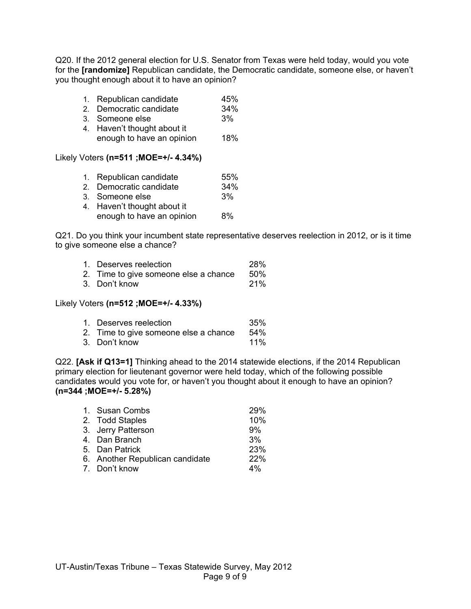Q20. If the 2012 general election for U.S. Senator from Texas were held today, would you vote for the **[randomize]** Republican candidate, the Democratic candidate, someone else, or haven't you thought enough about it to have an opinion?

|  | Republican candidate | 45% |
|--|----------------------|-----|
|  |                      |     |

- 2. Democratic candidate 34%
- 3. Someone else 3%
- 4. Haven't thought about it enough to have an opinion 18%

## Likely Voters **(n=511 ;MOE=+/- 4.34%)**

| 1. Republican candidate     | 55% |
|-----------------------------|-----|
| 2. Democratic candidate     | 34% |
| 3. Someone else             | 3%  |
| 4. Haven't thought about it |     |
| enough to have an opinion   | 8%  |

Q21. Do you think your incumbent state representative deserves reelection in 2012, or is it time to give someone else a chance?

| 1. Deserves reelection                | <b>28%</b> |
|---------------------------------------|------------|
| 2. Time to give someone else a chance | .50%       |
| 3. Don't know                         | <b>21%</b> |

#### Likely Voters **(n=512 ;MOE=+/- 4.33%)**

| 1. Deserves reelection                | 35%  |
|---------------------------------------|------|
| 2. Time to give someone else a chance | .54% |
| 3. Don't know                         | 11%  |

Q22. **[Ask if Q13=1]** Thinking ahead to the 2014 statewide elections, if the 2014 Republican primary election for lieutenant governor were held today, which of the following possible candidates would you vote for, or haven't you thought about it enough to have an opinion? **(n=344 ;MOE=+/- 5.28%)**

| 1. Susan Combs                  | 29% |
|---------------------------------|-----|
| 2. Todd Staples                 | 10% |
| 3. Jerry Patterson              | 9%  |
| 4. Dan Branch                   | 3%  |
| 5. Dan Patrick                  | 23% |
| 6. Another Republican candidate | 22% |
| 7. Don't know                   | 4%  |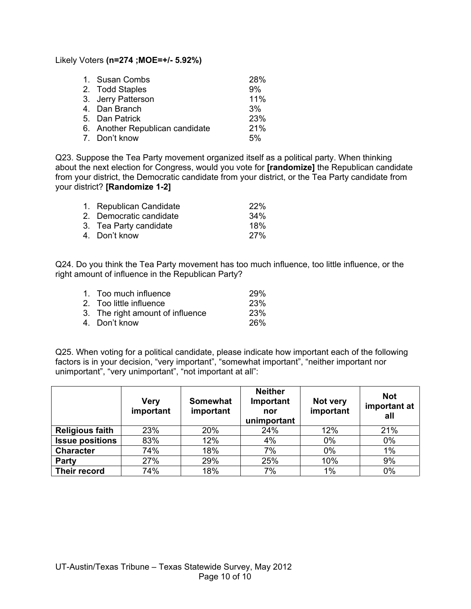Likely Voters **(n=274 ;MOE=+/- 5.92%)**

| 1. Susan Combs                  | 28% |
|---------------------------------|-----|
| 2. Todd Staples                 | 9%  |
| 3. Jerry Patterson              | 11% |
| 4. Dan Branch                   | 3%  |
| 5. Dan Patrick                  | 23% |
| 6. Another Republican candidate | 21% |
| 7. Don't know                   | 5%  |

Q23. Suppose the Tea Party movement organized itself as a political party. When thinking about the next election for Congress, would you vote for **[randomize]** the Republican candidate from your district, the Democratic candidate from your district, or the Tea Party candidate from your district? **[Randomize 1-2]**

| 1. Republican Candidate | <b>22%</b> |
|-------------------------|------------|
| 2. Democratic candidate | 34%        |
| 3. Tea Party candidate  | 18%        |
| 4. Don't know           | 27%        |

Q24. Do you think the Tea Party movement has too much influence, too little influence, or the right amount of influence in the Republican Party?

| 1. Too much influence            | <b>29%</b> |
|----------------------------------|------------|
| 2. Too little influence          | <b>23%</b> |
| 3. The right amount of influence | <b>23%</b> |
| 4. Don't know                    | <b>26%</b> |
|                                  |            |

Q25. When voting for a political candidate, please indicate how important each of the following factors is in your decision, "very important", "somewhat important", "neither important nor unimportant", "very unimportant", "not important at all":

|                        | <b>Very</b><br>important | <b>Somewhat</b><br>important | <b>Neither</b><br>Important<br>nor<br>unimportant | Not very<br>important | <b>Not</b><br>important at<br>all |
|------------------------|--------------------------|------------------------------|---------------------------------------------------|-----------------------|-----------------------------------|
| <b>Religious faith</b> | 23%                      | 20%                          | 24%                                               | 12%                   | 21%                               |
| <b>Issue positions</b> | 83%                      | 12%                          | 4%                                                | 0%                    | 0%                                |
| <b>Character</b>       | 74%                      | 18%                          | 7%                                                | $0\%$                 | $1\%$                             |
| Party                  | 27%                      | 29%                          | 25%                                               | 10%                   | 9%                                |
| Their record           | 74%                      | 18%                          | 7%                                                | $1\%$                 | 0%                                |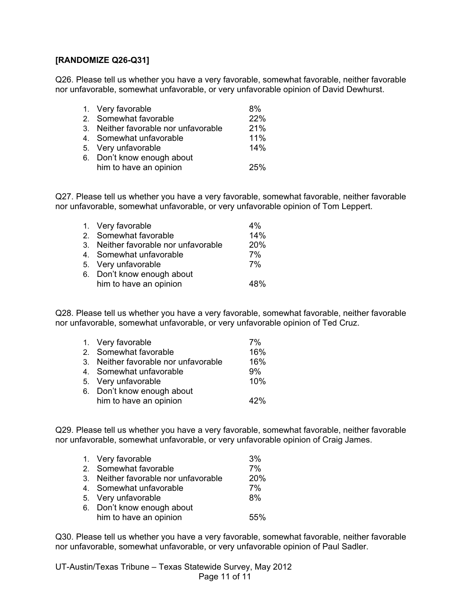## **[RANDOMIZE Q26-Q31]**

Q26. Please tell us whether you have a very favorable, somewhat favorable, neither favorable nor unfavorable, somewhat unfavorable, or very unfavorable opinion of David Dewhurst.

| 1. Very favorable                    | 8%  |
|--------------------------------------|-----|
| 2. Somewhat favorable                | 22% |
| 3. Neither favorable nor unfavorable | 21% |
| 4. Somewhat unfavorable              | 11% |
| 5. Very unfavorable                  | 14% |
| 6. Don't know enough about           |     |
| him to have an opinion               | 25% |

Q27. Please tell us whether you have a very favorable, somewhat favorable, neither favorable nor unfavorable, somewhat unfavorable, or very unfavorable opinion of Tom Leppert.

| 1. Very favorable                    | 4%         |
|--------------------------------------|------------|
| 2. Somewhat favorable                | 14%        |
| 3. Neither favorable nor unfavorable | <b>20%</b> |
| 4. Somewhat unfavorable              | 7%         |
| 5. Very unfavorable                  | 7%         |
| 6. Don't know enough about           |            |
| him to have an opinion               | 48%        |
|                                      |            |

Q28. Please tell us whether you have a very favorable, somewhat favorable, neither favorable nor unfavorable, somewhat unfavorable, or very unfavorable opinion of Ted Cruz.

| 1. Very favorable                    | 7%  |
|--------------------------------------|-----|
| 2. Somewhat favorable                | 16% |
| 3. Neither favorable nor unfavorable | 16% |
| 4. Somewhat unfavorable              | 9%  |
| 5. Very unfavorable                  | 10% |
| 6. Don't know enough about           |     |
| him to have an opinion               | 42% |

Q29. Please tell us whether you have a very favorable, somewhat favorable, neither favorable nor unfavorable, somewhat unfavorable, or very unfavorable opinion of Craig James.

| 1. Very favorable                    | 3%  |
|--------------------------------------|-----|
| 2. Somewhat favorable                | 7%  |
| 3. Neither favorable nor unfavorable | 20% |
| 4. Somewhat unfavorable              | 7%  |
| 5. Very unfavorable                  | 8%  |
| 6. Don't know enough about           |     |
| him to have an opinion               | 55% |

Q30. Please tell us whether you have a very favorable, somewhat favorable, neither favorable nor unfavorable, somewhat unfavorable, or very unfavorable opinion of Paul Sadler.

UT-Austin/Texas Tribune – Texas Statewide Survey, May 2012 Page 11 of 11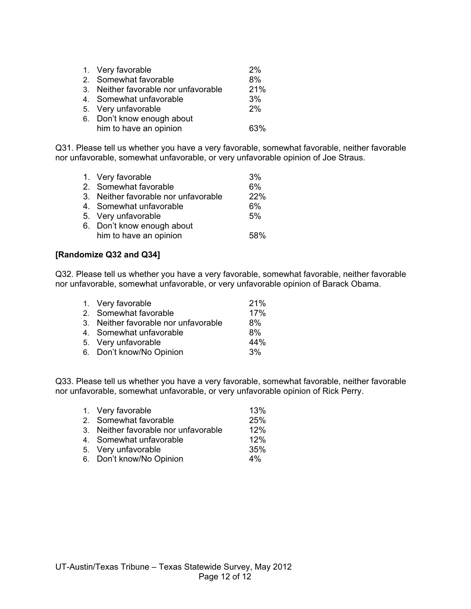| 1. Very favorable                    | 2%  |
|--------------------------------------|-----|
| 2. Somewhat favorable                | 8%  |
| 3. Neither favorable nor unfavorable | 21% |
| 4. Somewhat unfavorable              | 3%  |
| 5. Very unfavorable                  | 2%  |
| 6. Don't know enough about           |     |
| him to have an opinion               | 63% |

Q31. Please tell us whether you have a very favorable, somewhat favorable, neither favorable nor unfavorable, somewhat unfavorable, or very unfavorable opinion of Joe Straus.

| 1. Very favorable                    | 3%  |
|--------------------------------------|-----|
| 2. Somewhat favorable                | 6%  |
| 3. Neither favorable nor unfavorable | 22% |
| 4. Somewhat unfavorable              | 6%  |
| 5. Very unfavorable                  | 5%  |
| 6. Don't know enough about           |     |
| him to have an opinion               | 58% |

## **[Randomize Q32 and Q34]**

Q32. Please tell us whether you have a very favorable, somewhat favorable, neither favorable nor unfavorable, somewhat unfavorable, or very unfavorable opinion of Barack Obama.

| 1. Very favorable                    | 21% |
|--------------------------------------|-----|
| 2. Somewhat favorable                | 17% |
| 3. Neither favorable nor unfavorable | 8%  |
| 4. Somewhat unfavorable              | 8%  |
| 5. Very unfavorable                  | 44% |
| 6. Don't know/No Opinion             | 3%  |

Q33. Please tell us whether you have a very favorable, somewhat favorable, neither favorable nor unfavorable, somewhat unfavorable, or very unfavorable opinion of Rick Perry.

| 1. Very favorable                    | 13%   |
|--------------------------------------|-------|
| 2. Somewhat favorable                | 25%   |
| 3. Neither favorable nor unfavorable | 12%   |
| 4. Somewhat unfavorable              | 12%   |
| 5. Very unfavorable                  | 35%   |
| 6. Don't know/No Opinion             | $4\%$ |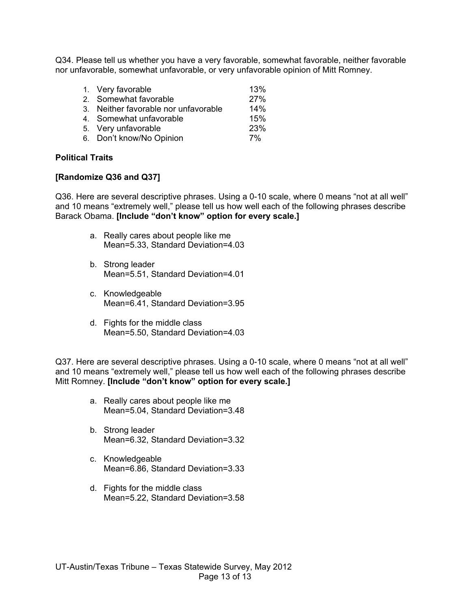Q34. Please tell us whether you have a very favorable, somewhat favorable, neither favorable nor unfavorable, somewhat unfavorable, or very unfavorable opinion of Mitt Romney.

| 1. Very favorable                    | 13% |
|--------------------------------------|-----|
| 2. Somewhat favorable                | 27% |
| 3. Neither favorable nor unfavorable | 14% |
| 4. Somewhat unfavorable              | 15% |
| 5. Very unfavorable                  | 23% |
| 6. Don't know/No Opinion             | 7%  |

#### **Political Traits**

#### **[Randomize Q36 and Q37]**

Q36. Here are several descriptive phrases. Using a 0-10 scale, where 0 means "not at all well" and 10 means "extremely well," please tell us how well each of the following phrases describe Barack Obama. **[Include "don't know" option for every scale.]**

- a. Really cares about people like me Mean=5.33, Standard Deviation=4.03
- b. Strong leader Mean=5.51, Standard Deviation=4.01
- c. Knowledgeable Mean=6.41, Standard Deviation=3.95
- d. Fights for the middle class Mean=5.50, Standard Deviation=4.03

Q37. Here are several descriptive phrases. Using a 0-10 scale, where 0 means "not at all well" and 10 means "extremely well," please tell us how well each of the following phrases describe Mitt Romney. **[Include "don't know" option for every scale.]**

- a. Really cares about people like me Mean=5.04, Standard Deviation=3.48
- b. Strong leader Mean=6.32, Standard Deviation=3.32
- c. Knowledgeable Mean=6.86, Standard Deviation=3.33
- d. Fights for the middle class Mean=5.22, Standard Deviation=3.58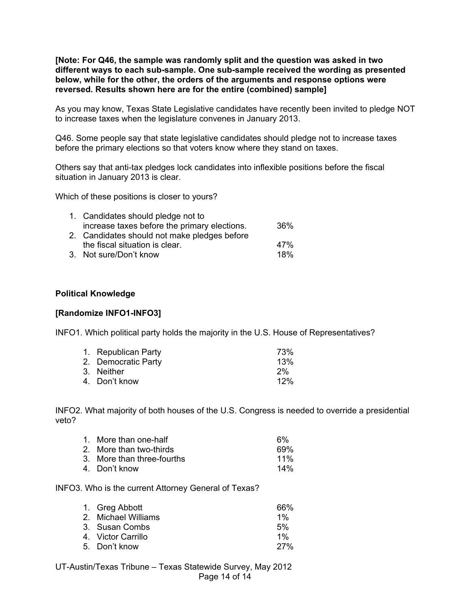**[Note: For Q46, the sample was randomly split and the question was asked in two different ways to each sub-sample. One sub-sample received the wording as presented below, while for the other, the orders of the arguments and response options were reversed. Results shown here are for the entire (combined) sample]**

As you may know, Texas State Legislative candidates have recently been invited to pledge NOT to increase taxes when the legislature convenes in January 2013.

Q46. Some people say that state legislative candidates should pledge not to increase taxes before the primary elections so that voters know where they stand on taxes.

Others say that anti-tax pledges lock candidates into inflexible positions before the fiscal situation in January 2013 is clear.

Which of these positions is closer to yours?

| 1. Candidates should pledge not to           |     |
|----------------------------------------------|-----|
| increase taxes before the primary elections. | 36% |
| 2. Candidates should not make pledges before |     |
| the fiscal situation is clear.               | 47% |
| 3. Not sure/Don't know                       | 18% |

#### **Political Knowledge**

#### **[Randomize INFO1-INFO3]**

INFO1. Which political party holds the majority in the U.S. House of Representatives?

| 1. Republican Party | 73% |
|---------------------|-----|
| 2. Democratic Party | 13% |
| 3. Neither          | 2%  |
| 4. Don't know       | 12% |

INFO2. What majority of both houses of the U.S. Congress is needed to override a presidential veto?

| 1. More than one-half      | 6%  |
|----------------------------|-----|
| 2. More than two-thirds    | 69% |
| 3. More than three-fourths | 11% |
| 4. Don't know              | 14% |

INFO3. Who is the current Attorney General of Texas?

| 1. Greg Abbott      | 66%        |
|---------------------|------------|
| 2. Michael Williams | 1%         |
| 3. Susan Combs      | 5%         |
| 4. Victor Carrillo  | $1\%$      |
| 5. Don't know       | <b>27%</b> |

UT-Austin/Texas Tribune – Texas Statewide Survey, May 2012 Page 14 of 14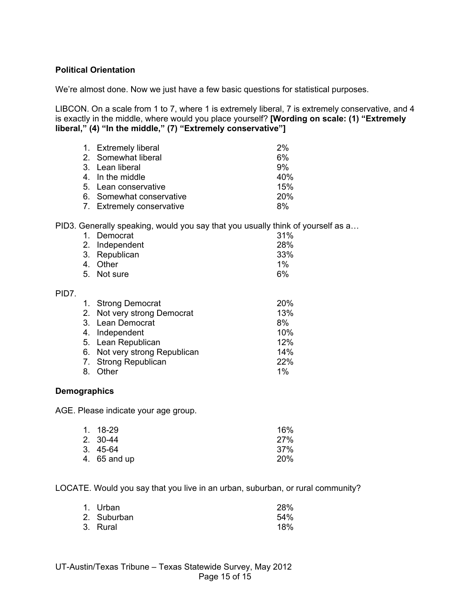## **Political Orientation**

We're almost done. Now we just have a few basic questions for statistical purposes.

LIBCON. On a scale from 1 to 7, where 1 is extremely liberal, 7 is extremely conservative, and 4 is exactly in the middle, where would you place yourself? **[Wording on scale: (1) "Extremely liberal," (4) "In the middle," (7) "Extremely conservative"]**

| 1. Extremely liberal      | 2%         |
|---------------------------|------------|
| 2. Somewhat liberal       | 6%         |
| 3. Lean liberal           | 9%         |
| 4. In the middle          | 40%        |
| 5. Lean conservative      | 15%        |
| 6. Somewhat conservative  | <b>20%</b> |
| 7. Extremely conservative | 8%         |

PID3. Generally speaking, would you say that you usually think of yourself as a…

| 1.<br>2.<br>3.<br>4. | Democrat<br>Independent<br>Republican<br>Other<br>5. Not sure | 31%<br>28%<br>33%<br>1%<br>6% |
|----------------------|---------------------------------------------------------------|-------------------------------|
|                      |                                                               |                               |
| 2.                   | 1. Strong Democrat<br>Not very strong Democrat                | 20%<br>13%                    |
| 3.                   | Lean Democrat                                                 | 8%                            |
| 4.                   | Independent                                                   | 10%                           |
| 5.                   | Lean Republican                                               | 12%                           |
| 6.                   | Not very strong Republican                                    | 14%                           |
| 7.                   | <b>Strong Republican</b>                                      | 22%                           |
| 8.                   | Other                                                         | 1%                            |

#### **Demographics**

PID7.

AGE. Please indicate your age group.

| 1. 18-29     | 16%        |
|--------------|------------|
| 2. 30-44     | 27%        |
| 3. 45-64     | 37%        |
| 4. 65 and up | <b>20%</b> |

LOCATE. Would you say that you live in an urban, suburban, or rural community?

| 1. Urban    | 28% |
|-------------|-----|
| 2. Suburban | 54% |
| 3. Rural    | 18% |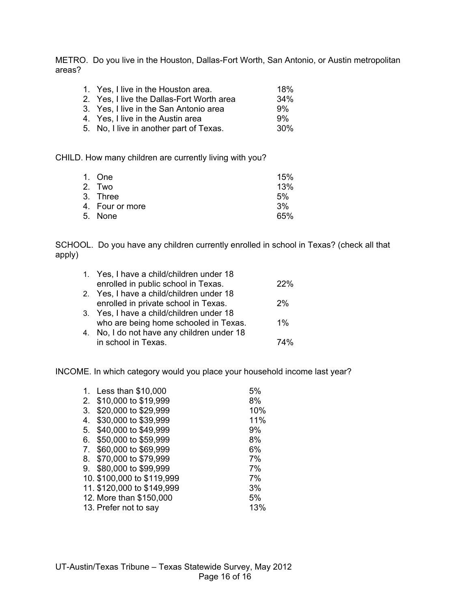METRO. Do you live in the Houston, Dallas-Fort Worth, San Antonio, or Austin metropolitan areas?

| 1. Yes, I live in the Houston area.                           | 18%        |
|---------------------------------------------------------------|------------|
| 2. Yes, I live the Dallas-Fort Worth area                     | 34%        |
| 3. Yes, I live in the San Antonio area                        | 9%         |
| 4. Yes, I live in the Austin area                             | 9%         |
| $\mathcal{L}$ . The contract of the contract of $\mathcal{L}$ | <b>000</b> |

5. No, I live in another part of Texas. 30%

CHILD. How many children are currently living with you?

| 1. One          | 15% |
|-----------------|-----|
| 2. Two          | 13% |
| 3. Three        | 5%  |
| 4. Four or more | 3%  |
| 5. None         | 65% |
|                 |     |

SCHOOL. Do you have any children currently enrolled in school in Texas? (check all that apply)

| 1. Yes, I have a child/children under 18   |       |
|--------------------------------------------|-------|
| enrolled in public school in Texas.        | 22%   |
| 2. Yes, I have a child/children under 18   |       |
| enrolled in private school in Texas.       | 2%    |
| 3. Yes, I have a child/children under 18   |       |
| who are being home schooled in Texas.      | $1\%$ |
| 4. No, I do not have any children under 18 |       |
| in school in Texas.                        | 74%   |

INCOME. In which category would you place your household income last year?

|    | 1. Less than \$10,000      | 5%  |
|----|----------------------------|-----|
|    | 2. \$10,000 to \$19,999    | 8%  |
| 3. | \$20,000 to \$29,999       | 10% |
| 4. | \$30,000 to \$39,999       | 11% |
| 5. | \$40,000 to \$49,999       | 9%  |
| 6. | \$50,000 to \$59,999       | 8%  |
| 7. | \$60,000 to \$69,999       | 6%  |
|    | 8. \$70,000 to \$79,999    | 7%  |
| 9. | \$80,000 to \$99,999       | 7%  |
|    | 10. \$100,000 to \$119,999 | 7%  |
|    | 11. \$120,000 to \$149,999 | 3%  |
|    | 12. More than \$150,000    | 5%  |
|    | 13. Prefer not to say      | 13% |
|    |                            |     |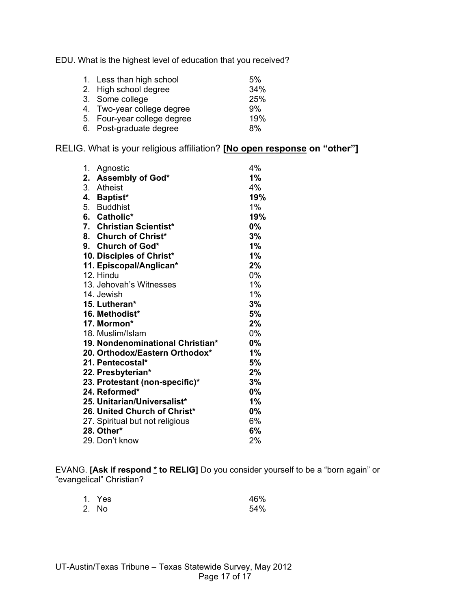EDU. What is the highest level of education that you received?

| 1. Less than high school    | 5%  |
|-----------------------------|-----|
| 2. High school degree       | 34% |
| 3. Some college             | 25% |
| 4. Two-year college degree  | 9%  |
| 5. Four-year college degree | 19% |
| 6. Post-graduate degree     | 8%  |

RELIG. What is your religious affiliation? **[No open response on "other"]**

| 1. | Agnostic                         | 4%    |
|----|----------------------------------|-------|
| 2. | Assembly of God*                 | $1\%$ |
|    | 3. Atheist                       | 4%    |
|    | 4. Baptist*                      | 19%   |
|    | 5. Buddhist                      | $1\%$ |
|    | 6. Catholic*                     | 19%   |
|    | 7. Christian Scientist*          | $0\%$ |
|    | 8. Church of Christ*             | 3%    |
|    | 9. Church of God*                | 1%    |
|    | 10. Disciples of Christ*         | 1%    |
|    | 11. Episcopal/Anglican*          | 2%    |
|    | 12. Hindu                        | 0%    |
|    | 13. Jehovah's Witnesses          | 1%    |
|    | 14. Jewish                       | 1%    |
|    | 15. Lutheran*                    | 3%    |
|    | 16. Methodist*                   | 5%    |
|    | 17. Mormon*                      | 2%    |
|    | 18. Muslim/Islam                 | 0%    |
|    | 19. Nondenominational Christian* | 0%    |
|    | 20. Orthodox/Eastern Orthodox*   | 1%    |
|    | 21. Pentecostal*                 | 5%    |
|    | 22. Presbyterian*                | 2%    |
|    | 23. Protestant (non-specific)*   | 3%    |
|    | 24. Reformed*                    | $0\%$ |
|    | 25. Unitarian/Universalist*      | 1%    |
|    | 26. United Church of Christ*     | $0\%$ |
|    | 27. Spiritual but not religious  | 6%    |
|    | 28. Other*                       | 6%    |
|    | 29. Don't know                   | 2%    |

EVANG. **[Ask if respond \* to RELIG]** Do you consider yourself to be a "born again" or "evangelical" Christian?

| 1. Yes | 46% |
|--------|-----|
| 2. No  | 54% |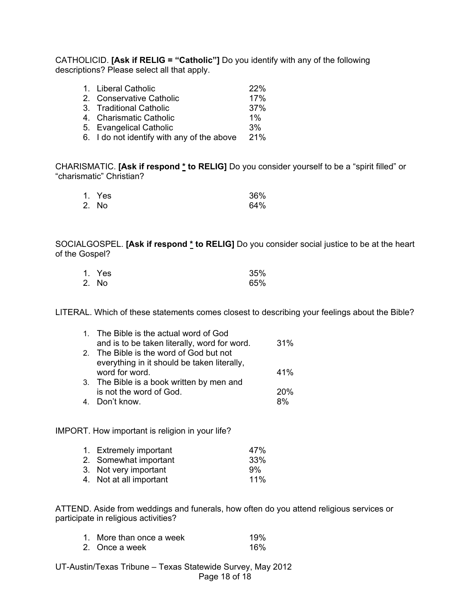CATHOLICID. **[Ask if RELIG = "Catholic"]** Do you identify with any of the following descriptions? Please select all that apply.

| 1. Liberal Catholic                        | 22%   |
|--------------------------------------------|-------|
| 2. Conservative Catholic                   | 17%   |
| 3. Traditional Catholic                    | 37%   |
| 4. Charismatic Catholic                    | $1\%$ |
| 5. Evangelical Catholic                    | 3%    |
| 6. I do not identify with any of the above | 21%   |

CHARISMATIC. **[Ask if respond \* to RELIG]** Do you consider yourself to be a "spirit filled" or "charismatic" Christian?

| 1. Yes | 36% |
|--------|-----|
| 2. No  | 64% |

SOCIALGOSPEL. **[Ask if respond \* to RELIG]** Do you consider social justice to be at the heart of the Gospel?

| 1. Yes | 35% |
|--------|-----|
| 2. No  | 65% |

LITERAL. Which of these statements comes closest to describing your feelings about the Bible?

| 1. The Bible is the actual word of God       |     |
|----------------------------------------------|-----|
| and is to be taken literally, word for word. | 31% |
| 2. The Bible is the word of God but not      |     |
| everything in it should be taken literally,  |     |
| word for word.                               | 41% |
| 3. The Bible is a book written by men and    |     |
| is not the word of God.                      | 20% |
| 4. Don't know.                               | ጸ%  |

IMPORT. How important is religion in your life?

| 1. Extremely important  | 47% |
|-------------------------|-----|
| 2. Somewhat important   | 33% |
| 3. Not very important   | .9% |
| 4. Not at all important | 11% |

ATTEND. Aside from weddings and funerals, how often do you attend religious services or participate in religious activities?

| 1. More than once a week | 19% |
|--------------------------|-----|
| 2. Once a week           | 16% |

UT-Austin/Texas Tribune – Texas Statewide Survey, May 2012 Page 18 of 18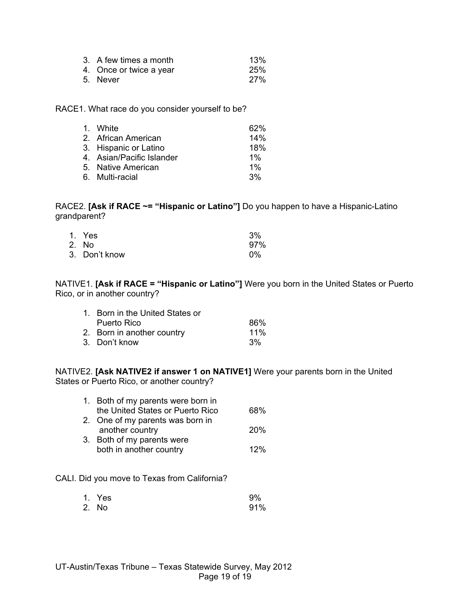| 3. A few times a month  | 13%        |
|-------------------------|------------|
| 4. Once or twice a year | 25%        |
| 5. Never                | <b>27%</b> |

RACE1. What race do you consider yourself to be?

| 1. White                  | 62%   |
|---------------------------|-------|
| 2. African American       | 14%   |
| 3. Hispanic or Latino     | 18%   |
| 4. Asian/Pacific Islander | $1\%$ |
| 5. Native American        | $1\%$ |
| 6. Multi-racial           | 3%    |

RACE2. **[Ask if RACE ~= "Hispanic or Latino"]** Do you happen to have a Hispanic-Latino grandparent?

| 1. Yes        | 3%    |
|---------------|-------|
| 2. No         | 97%   |
| 3. Don't know | $0\%$ |

NATIVE1. **[Ask if RACE = "Hispanic or Latino"]** Were you born in the United States or Puerto Rico, or in another country?

| 1. Born in the United States or |     |
|---------------------------------|-----|
| Puerto Rico                     | 86% |
| 2. Born in another country      | 11% |
| 3. Don't know                   | 3%  |

NATIVE2. **[Ask NATIVE2 if answer 1 on NATIVE1]** Were your parents born in the United States or Puerto Rico, or another country?

| 1. Both of my parents were born in |            |
|------------------------------------|------------|
| the United States or Puerto Rico   | 68%        |
| 2. One of my parents was born in   |            |
| another country                    | <b>20%</b> |
| 3. Both of my parents were         |            |
| both in another country            | 12%        |
|                                    |            |

CALI. Did you move to Texas from California?

| 1. Yes | 9%  |
|--------|-----|
| 2. No  | 91% |